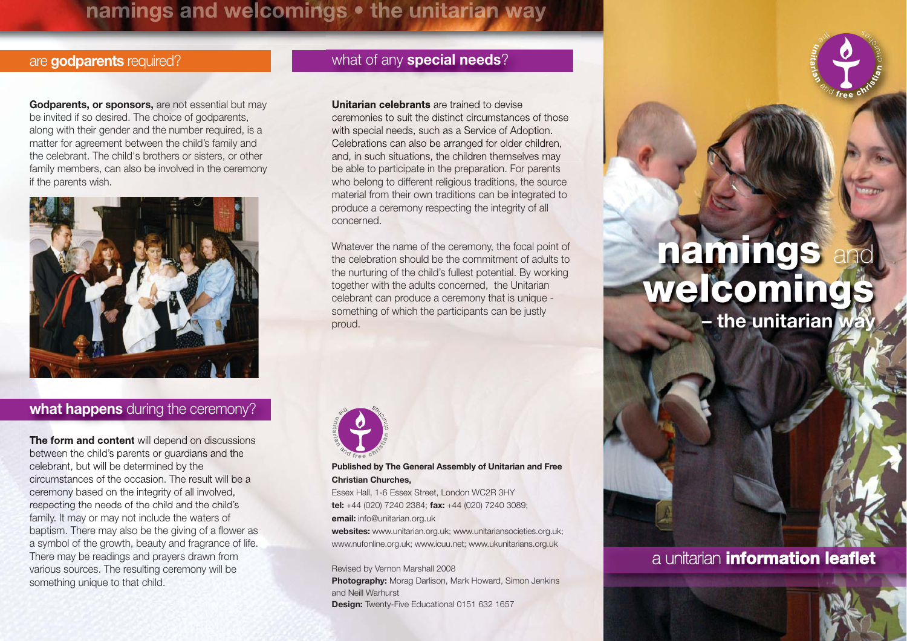## namings and welcomings . the unitarian way

**Godparents, or sponsors,** are not essential but may be invited if so desired. The choice of godparents, along with their gender and the number required, is a matter for agreement between the child's family and the celebrant. The child's brothers or sisters, or other family members, can also be involved in the ceremony if the parents wish.



#### **what happens** during the ceremony?

**The form and content** will depend on discussions between the child's parents or guardians and the celebrant, but will be determined by the circumstances of the occasion. The result will be aceremony based on the integrity of all involved, respecting the needs of the child and the child's family. It may or may not include the waters of baptism. There may also be the giving of a flower as a symbol of the growth, beauty and fragrance of life. There may be readings and prayers drawn from various sources. The resulting ceremony will be something unique to that child.

#### are **godparents** required? what of any **special needs**?

**Unitarian celebrants** are trained to devise

ceremonies to suit the distinct circumstances of thosewith special needs, such as a Service of Adoption. Celebrations can also be arranged for older children, and, in such situations, the children themselves may be able to participate in the preparation. For parents who belong to different religious traditions, the source material from their own traditions can be integrated to produce a ceremony respecting the integrity of all concerned.

Whatever the name of the ceremony, the focal point of the celebration should be the commitment of adults tothe nurturing of the child's fullest potential. By working together with the adults concerned, the Unitarian celebrant can produce a ceremony that is unique something of which the participants can be justly proud.



**Published by The General Assembly of Unitarian and Free Christian Churches,**

Essex Hall, 1-6 Essex Street, London WC2R 3HY **tel:** +44 (020) 7240 2384; **fax:** +44 (020) 7240 3089; **email:** info@unitarian.org.uk

**websites:** www.unitarian.org.uk; www.unitariansocieties.org.uk; www.nufonline.org.uk; www.icuu.net; www.ukunitarians.org.uk

Revised by Vernon Marshall 2008 **Photography:** Morag Darlison, Mark Howard, Simon Jenkins and Neill Warhurst **Design:** Twenty-Five Educational 0151 632 1657

# **namings** and **welcomings – the unitarian way**

### a unitarian **information leaflet**